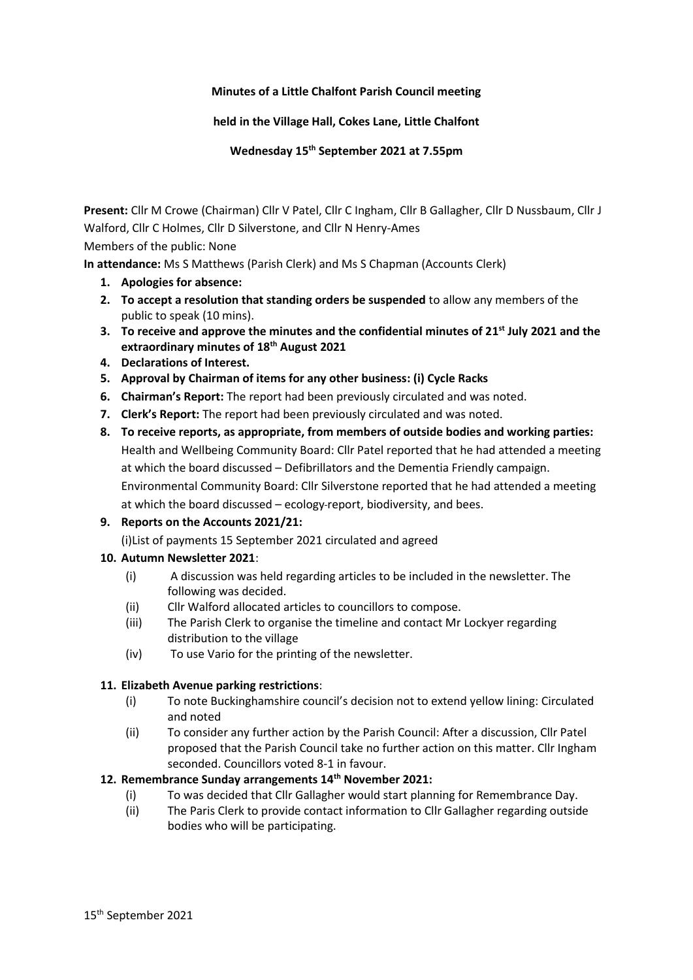## **Minutes of a Little Chalfont Parish Council meeting**

## **held in the Village Hall, Cokes Lane, Little Chalfont**

**Wednesday 15th September 2021 at 7.55pm**

**Present:** Cllr M Crowe (Chairman) Cllr V Patel, Cllr C Ingham, Cllr B Gallagher, Cllr D Nussbaum, Cllr J Walford, Cllr C Holmes, Cllr D Silverstone, and Cllr N Henry-Ames

Members of the public: None

**In attendance:** Ms S Matthews (Parish Clerk) and Ms S Chapman (Accounts Clerk)

- **1. Apologies for absence:**
- **2. To accept a resolution that standing orders be suspended** to allow any members of the public to speak (10 mins).
- **3. To receive and approve the minutes and the confidential minutes of 21 st July 2021 and the extraordinary minutes of 18th August 2021**
- **4. Declarations of Interest.**
- **5. Approval by Chairman of items for any other business: (i) Cycle Racks**
- **6. Chairman's Report:** The report had been previously circulated and was noted.
- **7. Clerk's Report:** The report had been previously circulated and was noted.
- **8. To receive reports, as appropriate, from members of outside bodies and working parties:** Health and Wellbeing Community Board: Cllr Patel reported that he had attended a meeting at which the board discussed – Defibrillators and the Dementia Friendly campaign. Environmental Community Board: Cllr Silverstone reported that he had attended a meeting at which the board discussed – ecology report, biodiversity, and bees.
- **9. Reports on the Accounts 2021/21:**

(i)List of payments 15 September 2021 circulated and agreed

# **10. Autumn Newsletter 2021**:

- (i) A discussion was held regarding articles to be included in the newsletter. The following was decided.
- (ii) Cllr Walford allocated articles to councillors to compose.
- (iii) The Parish Clerk to organise the timeline and contact Mr Lockyer regarding distribution to the village
- (iv) To use Vario for the printing of the newsletter.

# **11. Elizabeth Avenue parking restrictions**:

- (i) To note Buckinghamshire council's decision not to extend yellow lining: Circulated and noted
- (ii) To consider any further action by the Parish Council: After a discussion, Cllr Patel proposed that the Parish Council take no further action on this matter. Cllr Ingham seconded. Councillors voted 8-1 in favour.

# **12. Remembrance Sunday arrangements 14th November 2021:**

- (i) To was decided that Cllr Gallagher would start planning for Remembrance Day.
- (ii) The Paris Clerk to provide contact information to Cllr Gallagher regarding outside bodies who will be participating.